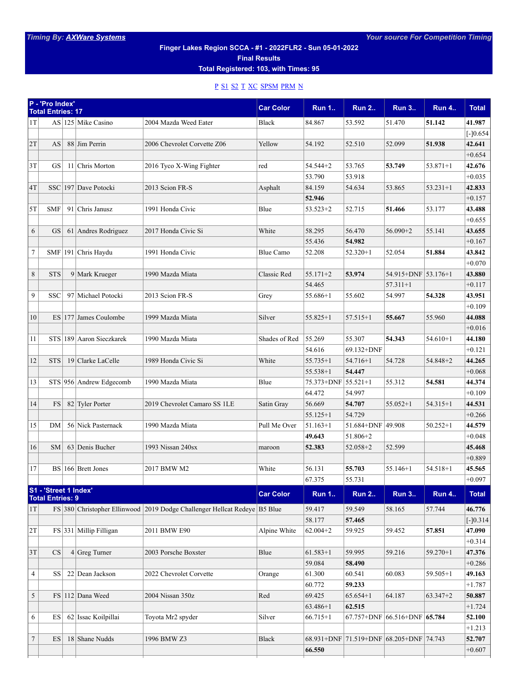## **Finger Lakes Region SCCA - #1 - 2022FLR2 - Sun 05-01-2022**

**Final Results**

**Total Registered: 103, with Times: 95**

## [P](#page-0-0) [S1](#page-0-1) [S2](#page-1-0) [T](#page-1-1) [XC](#page-2-0) [SPSM](#page-2-1) [PRM](#page-2-2) [N](#page-3-0)

<span id="page-0-1"></span><span id="page-0-0"></span>

|                | P - 'Pro Index'<br><b>Total Entries: 17</b>      |                          |                                                                           | <b>Car Color</b> | <b>Run 1</b>        | <b>Run 2</b> | <b>Run 3</b>                            | <b>Run 4</b> | <b>Total</b> |
|----------------|--------------------------------------------------|--------------------------|---------------------------------------------------------------------------|------------------|---------------------|--------------|-----------------------------------------|--------------|--------------|
| 1T             |                                                  | AS $ 125 $ Mike Casino   | 2004 Mazda Weed Eater                                                     | Black            | 84.867              | 53.592       | 51.470                                  | 51.142       | 41.987       |
|                |                                                  |                          |                                                                           |                  |                     |              |                                         |              | $[-]0.654$   |
| 2T             | AS                                               | 88 Jim Perrin            | 2006 Chevrolet Corvette Z06                                               | Yellow           | 54.192              | 52.510       | 52.099                                  | 51.938       | 42.641       |
|                |                                                  |                          |                                                                           |                  |                     |              |                                         |              | $+0.654$     |
| 3T             | GS                                               | 11 Chris Morton          | 2016 Tyco X-Wing Fighter                                                  | red              | 54.544+2            | 53.765       | 53.749                                  | $53.871 + 1$ | 42.676       |
|                |                                                  |                          |                                                                           |                  | 53.790              | 53.918       |                                         |              | $+0.035$     |
| 4T             |                                                  | SSC 197 Dave Potocki     | 2013 Scion FR-S                                                           | Asphalt          | 84.159              | 54.634       | 53.865                                  | $53.231 + 1$ | 42.833       |
|                |                                                  |                          |                                                                           |                  | 52.946              |              |                                         |              | $+0.157$     |
| 5T             | <b>SMF</b>                                       | 91 Chris Janusz          | 1991 Honda Civic                                                          | Blue             | $53.523 + 2$        | 52.715       | 51.466                                  | 53.177       | 43.488       |
|                |                                                  |                          |                                                                           |                  |                     |              |                                         |              | $+0.655$     |
| 6              | <b>GS</b>                                        | 61 Andres Rodriguez      | 2017 Honda Civic Si                                                       | White            | 58.295              | 56.470       | 56.090+2                                | 55.141       | 43.655       |
|                |                                                  |                          |                                                                           |                  | 55.436              | 54.982       |                                         |              | $+0.167$     |
| $\tau$         |                                                  | SMF 191 Chris Haydu      | 1991 Honda Civic                                                          | <b>Blue Camo</b> | 52.208              | $52.320 + 1$ | 52.054                                  | 51.884       | 43.842       |
|                |                                                  |                          |                                                                           |                  |                     |              |                                         |              | $+0.070$     |
| 8              | <b>STS</b>                                       | 9 Mark Krueger           | 1990 Mazda Miata                                                          | Classic Red      | $55.171 + 2$        | 53.974       | 54.915+DNF 53.176+1                     |              | 43.880       |
|                |                                                  |                          |                                                                           |                  | 54.465              |              | $57.311 + 1$                            |              | $+0.117$     |
| 9              | <b>SSC</b>                                       | 97 Michael Potocki       | 2013 Scion FR-S                                                           |                  | 55.686+1            | 55.602       | 54.997                                  | 54.328       | 43.951       |
|                |                                                  |                          |                                                                           | Grey             |                     |              |                                         |              | $+0.109$     |
| 10             |                                                  | ES 177 James Coulombe    | 1999 Mazda Miata                                                          | Silver           | $55.825 + 1$        | $57.515 + 1$ | 55.667                                  | 55.960       | 44.088       |
|                |                                                  |                          |                                                                           |                  |                     |              |                                         |              | $+0.016$     |
|                |                                                  |                          |                                                                           |                  |                     |              |                                         |              |              |
| 11             |                                                  | STS 189 Aaron Sieczkarek | 1990 Mazda Miata                                                          | Shades of Red    | 55.269              | 55.307       | 54.343                                  | $54.610 + 1$ | 44.180       |
|                |                                                  |                          |                                                                           |                  | 54.616              | 69.132+DNF   |                                         |              | $+0.121$     |
| 12             | <b>STS</b>                                       | 19 Clarke LaCelle        | 1989 Honda Civic Si                                                       | White            | $55.735 + 1$        | 54.716+1     | 54.728                                  | 54.848+2     | 44.265       |
|                |                                                  |                          |                                                                           |                  | $55.538 + 1$        | 54.447       |                                         |              | $+0.068$     |
| 13             |                                                  | STS 956 Andrew Edgecomb  | 1990 Mazda Miata                                                          | Blue             | 75.373+DNF 55.521+1 |              | 55.312                                  | 54.581       | 44.374       |
|                |                                                  |                          |                                                                           |                  | 64.472              | 54.997       |                                         |              | $+0.109$     |
| 14             | <b>FS</b>                                        | 82 Tyler Porter          | 2019 Chevrolet Camaro SS 1LE                                              | Satin Gray       | 56.669              | 54.707       | $55.052 + 1$                            | 54.315+1     | 44.531       |
|                |                                                  |                          |                                                                           |                  | $55.125 + 1$        | 54.729       |                                         |              | $+0.266$     |
| 15             | DM                                               | 56 Nick Pasternack       | 1990 Mazda Miata                                                          | Pull Me Over     | $51.163 + 1$        | 51.684+DNF   | 49.908                                  | $50.252 + 1$ | 44.579       |
|                |                                                  |                          |                                                                           |                  | 49.643              | 51.806+2     |                                         |              | $+0.048$     |
| 16             | SM                                               | 63 Denis Bucher          | 1993 Nissan 240sx                                                         | maroon           | 52.383              | $52.058 + 2$ | 52.599                                  |              | 45.468       |
|                |                                                  |                          |                                                                           |                  |                     |              |                                         |              | $+0.889$     |
| 17             |                                                  | BS 166 Brett Jones       | 2017 BMW M2                                                               | White            | 56.131              | 55.703       | 55.146+1                                | 54.518+1     | 45.565       |
|                |                                                  |                          |                                                                           |                  | 67.375              | 55.731       |                                         |              | $+0.097$     |
|                | S1 - 'Street 1 Index'<br><b>Total Entries: 9</b> |                          |                                                                           | <b>Car Color</b> | <b>Run 1</b>        | <b>Run 2</b> | <b>Run 3</b>                            | <b>Run 4</b> | <b>Total</b> |
| 1T             |                                                  |                          | FS 380 Christopher Ellinwood 2019 Dodge Challenger Hellcat Redeye B5 Blue |                  | 59.417              | 59.549       | 58.165                                  | 57.744       | 46.776       |
|                |                                                  |                          |                                                                           |                  | 58.177              | 57.465       |                                         |              | $[-]0.314$   |
| 2T             |                                                  | $FS$ 331 Millip Filligan | 2011 BMW E90                                                              | Alpine White     | $62.004 + 2$        | 59.925       | 59.452                                  | 57.851       | 47.090       |
|                |                                                  |                          |                                                                           |                  |                     |              |                                         |              | $+0.314$     |
| 3T             | CS                                               | $4$ Greg Turner          | 2003 Porsche Boxster                                                      | Blue             | $61.583 + 1$        | 59.995       | 59.216                                  | $59.270 + 1$ | 47.376       |
|                |                                                  |                          |                                                                           |                  | 59.084              | 58.490       |                                         |              | $+0.286$     |
| $\overline{4}$ | SS <sup> </sup>                                  | 22 Dean Jackson          | 2022 Chevrolet Corvette                                                   | Orange           | 61.300              | 60.541       | 60.083                                  | 59.505+1     | 49.163       |
|                |                                                  |                          |                                                                           |                  | 60.772              | 59.233       |                                         |              | $+1.787$     |
|                |                                                  |                          |                                                                           |                  |                     |              |                                         |              |              |
| 5              |                                                  | FS 112 Dana Weed         | 2004 Nissan 350z                                                          | Red              | 69.425              | $65.654 + 1$ | 64.187                                  | $63.347 + 2$ | 50.887       |
|                |                                                  |                          |                                                                           |                  | 63.486+1            | 62.515       |                                         |              | $+1.724$     |
| 6              | ES                                               | 62 Issac Koilpillai      | Toyota Mr2 spyder                                                         | Silver           | $66.715 + 1$        | 67.757+DNF   | $ 66.516 + DNF $ 65.784                 |              | 52.100       |
|                |                                                  |                          |                                                                           |                  |                     |              |                                         |              | $+1.213$     |
| 7              | ES                                               | 18 Shane Nudds           | 1996 BMW Z3                                                               | <b>Black</b>     |                     |              | 68.931+DNF 71.519+DNF 68.205+DNF 74.743 |              | 52.707       |
|                |                                                  |                          |                                                                           |                  | 66.550              |              |                                         |              | $+0.607$     |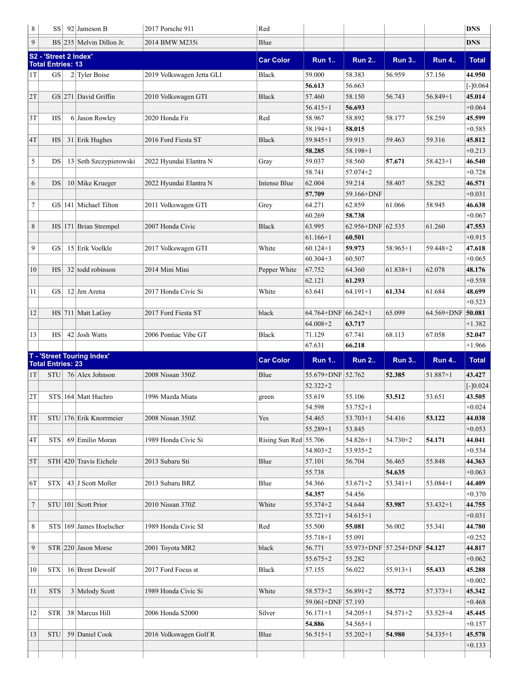<span id="page-1-1"></span><span id="page-1-0"></span>

| 8                | SS                                                | 92 Jameson B                | 2017 Porsche 911          | Red                     |                                         |                   |                              |              | <b>DNS</b>         |
|------------------|---------------------------------------------------|-----------------------------|---------------------------|-------------------------|-----------------------------------------|-------------------|------------------------------|--------------|--------------------|
| 9                |                                                   | $BS$  235 Melvin Dillon Jr. | 2014 BMW M235i            | Blue                    |                                         |                   |                              |              | <b>DNS</b>         |
|                  | S2 - 'Street 2 Index'<br><b>Total Entries: 13</b> |                             |                           | <b>Car Color</b>        | <b>Run 1</b>                            | <b>Run 2</b>      | <b>Run 3</b>                 | <b>Run 4</b> | <b>Total</b>       |
| 1T               | <b>GS</b>                                         | $2$ Tyler Boise             | 2019 Volkswagen Jetta GLI | Black                   | 59.000                                  | 58.383            | 56.959                       | 57.156       | 44.950             |
|                  |                                                   |                             |                           |                         | 56.613                                  | 56.663            |                              |              | $[-]0.064$         |
| 2T               |                                                   | GS 271 David Griffin        | 2010 Volkswagen GTI       | <b>Black</b>            | 57.460                                  | 58.150            | 56.743                       | $56.849 + 1$ | 45.014             |
|                  |                                                   |                             |                           |                         | $56.415 + 1$                            | 56.693            |                              |              | $+0.064$           |
| 3T               | HS                                                | 6 Jason Rowley              | 2020 Honda Fit            | Red                     | 58.967                                  | 58.892            | 58.177                       | 58.259       | 45.599             |
|                  |                                                   |                             |                           |                         | 58.194+1                                | 58.015            |                              |              | $+0.585$           |
| 4T               | HS                                                | $31$ Erik Hughes            | 2016 Ford Fiesta ST       | <b>Black</b>            | $59.845 + 1$                            | 59.915            | 59.463                       | 59.316       | 45.812             |
|                  |                                                   |                             |                           |                         | 58.285                                  | 58.198+1          |                              |              | $+0.213$           |
| 5                | DS                                                | 13 Seth Szczypierowski      | 2022 Hyundai Elantra N    | Gray                    | 59.037                                  | 58.560            | 57.671                       | $58.423 + 1$ | 46.540             |
|                  |                                                   |                             |                           |                         | 58.741                                  | 57.074+2          |                              |              | $+0.728$           |
| 6                | DS                                                | 10 Mike Krueger             | 2022 Hyundai Elantra N    | Intense Blue            | 62.004                                  | 59.214            | 58.407                       | 58.282       | 46.571             |
|                  |                                                   |                             |                           |                         | 57.709                                  | 59.166+DNF        |                              |              | $+0.031$           |
| 7                |                                                   | GS   141   Michael Tilton   | 2011 Volkswagen GTI       | Grey                    | 64.271                                  | 62.859            | 61.066                       | 58.945       | 46.638             |
|                  |                                                   |                             |                           |                         | 60.269                                  | 58.738            |                              |              | $+0.067$           |
| $\,$ 8 $\,$      |                                                   | $HS$ 171 Brian Strempel     | 2007 Honda Civic          | <b>Black</b>            | 63.995                                  | 62.956+DNF 62.535 |                              | 61.260       | 47.553             |
|                  |                                                   |                             |                           |                         | $61.166 + 1$                            | 60.501            |                              |              | $+0.915$           |
| 9                | GS                                                | 15 Erik Voelkle             | 2017 Volkswagen GTI       | White                   | $60.124 + 1$                            | 59.973            | 58.965+1                     | $59.448 + 2$ | 47.618             |
|                  |                                                   |                             |                           |                         | $60.304 + 3$                            | 60.507            |                              |              | $+0.065$           |
| 10               | HS                                                | 32 todd robinson            | 2014 Mini Mini            | Pepper White            | 67.752                                  | 64.360            | $61.838 + 1$                 | 62.078       | 48.176             |
|                  |                                                   |                             |                           |                         | 62.121                                  | 61.293            |                              |              | $+0.558$           |
| 11               | GS                                                | 12 Jen Arena                | 2017 Honda Civic Si       | White                   | 63.641                                  | $64.191 + 1$      | 61.334                       | 61.684       | 48.699             |
|                  |                                                   |                             |                           |                         |                                         |                   |                              |              | $+0.523$           |
| 12               |                                                   | $HS$ 711 Matt LaGoy         | 2017 Ford Fiesta ST       | black                   | $64.764 + DNF$ 66.242+1<br>$64.008 + 2$ |                   | 65.099                       | 64.569+DNF   | 50.081             |
|                  |                                                   |                             |                           |                         |                                         | 63.717            |                              |              | $+1.382$           |
| 13               | HS                                                | 42 Josh Watts               | 2006 Pontiac Vibe GT      | Black                   | 71.129                                  | 67.741            | 68.113                       | 67.058       | 52.047             |
|                  |                                                   |                             |                           |                         |                                         |                   |                              |              |                    |
|                  |                                                   |                             |                           |                         | 67.631                                  | 66.218            |                              |              | $+1.966$           |
|                  | <b>Total Entries: 23</b>                          | T - 'Street Touring Index'  |                           | <b>Car Color</b>        | <b>Run 1</b>                            | <b>Run 2</b>      | <b>Run 3</b>                 | <b>Run 4</b> | <b>Total</b>       |
| 1T               | <b>STU</b>                                        | 76 Alex Johnson             | 2008 Nissan 350Z          | Blue                    | 55.679+DNF 52.762                       |                   | 52.385                       | 51.887+1     | 43.427             |
|                  |                                                   |                             |                           |                         | $52.322 + 2$                            |                   |                              |              | $[-]0.024$         |
| 2T               | STS                                               | 164 Matt Huchro             | 1996 Mazda Miata          | green                   | 55.619                                  | 55.106            | 53.512                       | 53.651       | 43.505             |
|                  |                                                   |                             |                           |                         | 54.598                                  | $53.752 + 1$      |                              |              | $+0.024$           |
| 3T               |                                                   | STU 176 Erik Knorrmeier     | 2008 Nissan 350Z          | Yes                     | 54.465                                  | $53.703 + 1$      | 54.416                       | 53.122       | 44.038             |
|                  |                                                   |                             |                           |                         | 55.289+1                                | 53.845            |                              |              | $+0.053$           |
| 4T               | STS                                               | 69 Emilio Moran             | 1989 Honda Civic Si       | Rising Sun Red $55.706$ |                                         | 54.826+1          | 54.730+2                     | 54.171       | 44.041             |
|                  |                                                   |                             |                           |                         | 54.803+2                                | 53.935+2          |                              |              | $+0.534$           |
| 5T               |                                                   | $STH$ 420 Travis Eichele    | 2013 Subaru Sti           | Blue                    | 57.101                                  | 56.704            | 56.465                       | 55.848       | 44.363             |
|                  |                                                   |                             |                           |                         | 55.738                                  |                   | 54.635                       |              | $+0.063$           |
| 6T               | STX                                               | 43 J Scott Moller           | 2013 Subaru BRZ           | Blue                    | 54.366                                  | $53.671 + 2$      | $53.341 + 1$                 | $53.084 + 1$ | 44.409             |
|                  |                                                   |                             |                           |                         | 54.357                                  | 54.456            |                              |              | $+0.370$           |
| $\boldsymbol{7}$ |                                                   | $STU$  101 Scott Prior      | 2010 Nissan 370Z          | White                   | 55.374+2                                | 54.644            | 53.987                       | $53.432 + 1$ | 44.755             |
|                  |                                                   |                             |                           |                         | $55.721 + 1$                            | $54.615 + 1$      |                              |              | $+0.031$           |
| 8                |                                                   | STS 169 James Hoelscher     | 1989 Honda Civic SI       | Red                     | 55.500                                  | 55.081            | 56.002                       | 55.341       | 44.780             |
|                  |                                                   |                             |                           |                         | 55.718+1                                | 55.091            |                              |              | $+0.252$           |
| $\overline{9}$   |                                                   | $STR$ 220 Jason Morse       | 2001 Toyota MR2           | black                   | 56.771                                  |                   | 55.973+DNF 57.254+DNF 54.127 |              | 44.817             |
| 10               | <b>STX</b>                                        | 16 Brent Dewolf             | 2017 Ford Focus st        | <b>Black</b>            | 55.675+2                                | 55.282<br>56.022  |                              | 55.433       | $+0.062$           |
|                  |                                                   |                             |                           |                         | 57.155                                  |                   | 55.913+1                     |              | 45.288<br>$+0.002$ |
| 11               | <b>STS</b>                                        | 3 Melody Scott              | 1989 Honda Civic Si       | White                   | 58.573+2                                | $56.891 + 2$      | 55.772                       | $57.373 + 1$ | 45.342             |
|                  |                                                   |                             |                           |                         | 59.061+DNF 57.193                       |                   |                              |              | $+0.468$           |
| 12               | STR                                               | 38 Marcus Hill              | 2006 Honda S2000          | Silver                  | $56.171 + 1$                            | 54.205+1          | $54.571 + 2$                 | $53.525 + 4$ | 45.445             |
|                  |                                                   |                             |                           |                         | 54.886                                  | 54.565+1          |                              |              | $+0.157$           |
| 13               | <b>STU</b>                                        | 59 Daniel Cook              | 2016 Volkswagen Golf R    | Blue                    | $56.515 + 1$                            | $55.202 + 1$      | 54.980                       | $54.335 + 1$ | 45.578             |
|                  |                                                   |                             |                           |                         |                                         |                   |                              |              | $+0.133$           |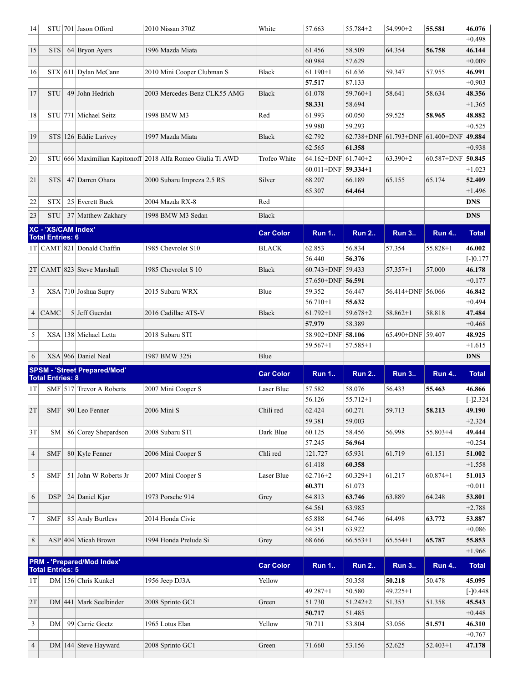<span id="page-2-2"></span><span id="page-2-1"></span><span id="page-2-0"></span>

| 14             |                         | STU 701 Jason Offord                | 2010 Nissan 370Z                                            | White            | 57.663                  | 55.784+2     | 54.990+2              | 55.581                | 46.076             |
|----------------|-------------------------|-------------------------------------|-------------------------------------------------------------|------------------|-------------------------|--------------|-----------------------|-----------------------|--------------------|
|                |                         |                                     |                                                             |                  |                         |              |                       |                       | $+0.498$           |
| 15             | <b>STS</b>              | 64 Bryon Ayers                      | 1996 Mazda Miata                                            |                  | 61.456                  | 58.509       | 64.354                | 56.758                | 46.144             |
|                |                         |                                     |                                                             |                  | 60.984                  | 57.629       |                       |                       | $+0.009$           |
| 16             |                         | $STX$ 611 Dylan McCann              | 2010 Mini Cooper Clubman S                                  | Black            | $61.190 + 1$            | 61.636       | 59.347                | 57.955                | 46.991             |
|                |                         |                                     |                                                             |                  | 57.517                  | 87.133       |                       |                       | $+0.903$           |
| 17             | <b>STU</b>              | 49 John Hedrich                     | 2003 Mercedes-Benz CLK55 AMG                                | <b>Black</b>     | 61.078                  | $59.760 + 1$ | 58.641                | 58.634                | 48.356             |
|                |                         |                                     |                                                             |                  | 58.331                  | 58.694       |                       |                       | $+1.365$           |
| 18             |                         | STU 771 Michael Seitz               | 1998 BMW M3                                                 | Red              | 61.993                  | 60.050       | 59.525                | 58.965                | 48.882             |
|                |                         |                                     |                                                             |                  | 59.980                  | 59.293       |                       |                       | $+0.525$           |
| 19             |                         | STS 126 Eddie Larivey               | 1997 Mazda Miata                                            | <b>Black</b>     | 62.792                  | 62.738+DNF   | 61.793+DNF 61.400+DNF |                       | 49.884             |
|                |                         |                                     |                                                             |                  | 62.565                  | 61.358       |                       |                       | $+0.938$           |
| 20             |                         |                                     | STU 666 Maximilian Kapitonoff 2018 Alfa Romeo Giulia Ti AWD | Trofeo White     | 64.162+DNF $ 61.740+2$  |              | $63.390 + 2$          | $60.587 + DNF$ 50.845 |                    |
|                |                         |                                     |                                                             |                  | $60.011 + DNF$ 59.334+1 |              |                       |                       | $+1.023$           |
| 21             | <b>STS</b>              | 47 Darren Ohara                     | 2000 Subaru Impreza 2.5 RS                                  | Silver           | 68.207                  | 66.189       | 65.155                | 65.174                | 52.409             |
|                |                         |                                     |                                                             |                  | 65.307                  | 64.464       |                       |                       | $+1.496$           |
| 22             | <b>STX</b>              | 25 Everett Buck                     | 2004 Mazda RX-8                                             | Red              |                         |              |                       |                       | <b>DNS</b>         |
|                |                         |                                     |                                                             |                  |                         |              |                       |                       |                    |
| 23             | <b>STU</b>              | 37 Matthew Zakhary                  | 1998 BMW M3 Sedan                                           | <b>Black</b>     |                         |              |                       |                       | <b>DNS</b>         |
|                | XC - 'XS/CAM Index'     |                                     |                                                             | <b>Car Color</b> | <b>Run 1</b>            | <b>Run 2</b> | <b>Run 3</b>          | <b>Run 4</b>          | <b>Total</b>       |
|                | <b>Total Entries: 6</b> |                                     |                                                             |                  |                         |              |                       |                       |                    |
|                |                         | $1T$ CAMT 821 Donald Chaffin        | 1985 Chevrolet S10                                          | BLACK            | 62.853                  | 56.834       | 57.354                | $55.828 + 1$          | 46.002             |
|                |                         |                                     |                                                             |                  | 56.440                  | 56.376       |                       |                       | $[-]0.177$         |
|                |                         | $2T$ CAMT 823 Steve Marshall        | 1985 Chevrolet S 10                                         | <b>Black</b>     | 60.743+DNF 59.433       |              | $57.357 + 1$          | 57.000                | 46.178             |
|                |                         |                                     |                                                             |                  | 57.650+DNF 56.591       |              |                       |                       | $+0.177$           |
| 3              |                         | XSA 710 Joshua Supry                | 2015 Subaru WRX                                             | Blue             | 59.352                  | 56.447       | 56.414+DNF 56.066     |                       | 46.842             |
|                |                         |                                     |                                                             |                  | $56.710 + 1$            | 55.632       |                       |                       | $+0.494$           |
| 4              | CAMC                    | 5 Jeff Guerdat                      | 2016 Cadillac ATS-V                                         | <b>Black</b>     | $61.792 + 1$            | $59.678 + 2$ | $58.862 + 1$          | 58.818                | 47.484             |
|                |                         |                                     |                                                             |                  | 57.979                  | 58.389       |                       |                       | $+0.468$           |
| 5              |                         | XSA 138 Michael Letta               | 2018 Subaru STI                                             |                  | 58.902+DNF              | 58.106       | 65.490+DNF 59.407     |                       | 48.925             |
|                |                         |                                     |                                                             |                  |                         |              |                       |                       |                    |
|                |                         |                                     |                                                             |                  | 59.567+1                | 57.585+1     |                       |                       | $+1.615$           |
| 6              |                         | $XSA$ 966 Daniel Neal               | 1987 BMW 325i                                               | Blue             |                         |              |                       |                       | <b>DNS</b>         |
|                |                         | <b>SPSM - 'Street Prepared/Mod'</b> |                                                             |                  |                         |              |                       |                       |                    |
|                | <b>Total Entries: 8</b> |                                     |                                                             | <b>Car Color</b> | <b>Run 1</b>            | <b>Run 2</b> | <b>Run 3</b>          | <b>Run 4</b>          | <b>Total</b>       |
| 1T             |                         | SMF 517 Trevor A Roberts            | 2007 Mini Cooper S                                          | Laser Blue       | 57.582                  | 58.076       | 56.433                | 55.463                | 46.866             |
|                |                         |                                     |                                                             |                  | 56.126                  | $55.712 + 1$ |                       |                       | $[-]2.324$         |
| 2T             |                         | $SMF$ 90 Leo Fenner                 | 2006 Mini S                                                 | Chili red        | 62.424                  | 60.271       | 59.713                | 58.213                | 49.190             |
|                |                         |                                     |                                                             |                  | 59.381                  | 59.003       |                       |                       | $+2.324$           |
| 3T             | SM                      | 86 Corey Shepardson                 | 2008 Subaru STI                                             | Dark Blue        | 60.125                  | 58.456       | 56.998                | $55.803+4$            | 49.444             |
|                |                         |                                     |                                                             |                  | 57.245                  | 56.964       |                       |                       | $+0.254$           |
| $\overline{4}$ | SMF                     | $80$ Kyle Fenner                    | 2006 Mini Cooper S                                          | Chli red         | 121.727                 | 65.931       | 61.719                | 61.151                | 51.002             |
|                |                         |                                     |                                                             |                  | 61.418                  | 60.358       |                       |                       | $+1.558$           |
| 5              | <b>SMF</b>              | 51 John W Roberts Jr                | 2007 Mini Cooper S                                          | Laser Blue       | $62.716 + 2$            | $60.329 + 1$ | 61.217                | $60.874 + 1$          | 51.013             |
|                |                         |                                     |                                                             |                  | 60.371                  | 61.073       |                       |                       | $+0.011$           |
| 6              | DSP                     | $24$ Daniel Kjar                    | 1973 Porsche 914                                            | Grey             | 64.813                  | 63.746       | 63.889                | 64.248                | 53.801             |
|                |                         |                                     |                                                             |                  | 64.561                  | 63.985       |                       |                       | $+2.788$           |
| 7              | <b>SMF</b>              | 85 Andy Burtless                    | 2014 Honda Civic                                            |                  | 65.888                  | 64.746       | 64.498                | 63.772                | 53.887             |
|                |                         |                                     |                                                             |                  | 64.351                  | 63.922       |                       |                       | $+0.086$           |
| 8              |                         | $ASP$ 404 Micah Brown               | 1994 Honda Prelude Si                                       | Grey             | 68.666                  | $66.553+1$   | $65.554+1$            | 65.787                | 55.853             |
|                |                         |                                     |                                                             |                  |                         |              |                       |                       | $+1.966$           |
|                |                         | PRM - 'Prepared/Mod Index'          |                                                             |                  |                         |              |                       |                       |                    |
|                | <b>Total Entries: 5</b> |                                     |                                                             | <b>Car Color</b> | <b>Run 1</b>            | <b>Run 2</b> | <b>Run 3</b>          | <b>Run 4</b>          | <b>Total</b>       |
| 1T             |                         | DM 156 Chris Kunkel                 | 1956 Jeep DJ3A                                              | Yellow           |                         | 50.358       | 50.218                | 50.478                | 45.095             |
|                |                         |                                     |                                                             |                  | $49.287 + 1$            | 50.580       | $49.225 + 1$          |                       | $[-]0.448$         |
| 2T             |                         | $DM$  441   Mark Seelbinder         | 2008 Sprinto GC1                                            | Green            | 51.730                  | $51.242 + 2$ | 51.353                | 51.358                | 45.543             |
|                |                         |                                     |                                                             |                  | 50.717                  | 51.485       |                       |                       | $+0.448$           |
| 3              | DM                      | 99 Carrie Goetz                     | 1965 Lotus Elan                                             | Yellow           | 70.711                  | 53.804       | 53.056                | 51.571                | 46.310             |
| 4              |                         | $DM 144 $ Steve Hayward             | 2008 Sprinto GC1                                            | Green            | 71.660                  | 53.156       | 52.625                | $52.403+1$            | $+0.767$<br>47.178 |